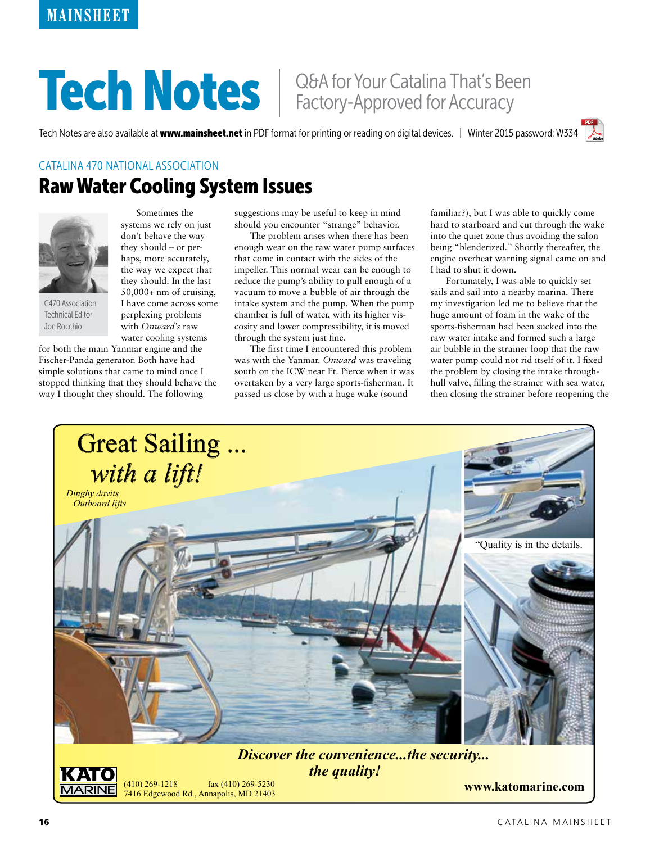## Tech Notes | Q&A for Your Catalina That's Been

Tech Notes are also available at www.mainsheet.net in PDF format for printing or reading on digital devices. | Winter 2015 password: W334





C470 Association Technical Editor Joe Rocchio

Sometimes the systems we rely on just don't behave the way they should – or perhaps, more accurately, the way we expect that they should. In the last 50,000+ nm of cruising, I have come across some perplexing problems with *Onward's* raw water cooling systems

for both the main Yanmar engine and the Fischer-Panda generator. Both have had simple solutions that came to mind once I stopped thinking that they should behave the way I thought they should. The following

suggestions may be useful to keep in mind should you encounter "strange" behavior.

The problem arises when there has been enough wear on the raw water pump surfaces that come in contact with the sides of the impeller. This normal wear can be enough to reduce the pump's ability to pull enough of a vacuum to move a bubble of air through the intake system and the pump. When the pump chamber is full of water, with its higher viscosity and lower compressibility, it is moved through the system just fine.

The first time I encountered this problem was with the Yanmar. *Onward* was traveling south on the ICW near Ft. Pierce when it was overtaken by a very large sports-fisherman. It passed us close by with a huge wake (sound

familiar?), but I was able to quickly come hard to starboard and cut through the wake into the quiet zone thus avoiding the salon being "blenderized." Shortly thereafter, the engine overheat warning signal came on and I had to shut it down.

Fortunately, I was able to quickly set sails and sail into a nearby marina. There my investigation led me to believe that the huge amount of foam in the wake of the sports-fisherman had been sucked into the raw water intake and formed such a large air bubble in the strainer loop that the raw water pump could not rid itself of it. I fixed the problem by closing the intake throughhull valve, filling the strainer with sea water, then closing the strainer before reopening the



fax (410) 269-5230

**www.katomarine.com** 7416 Edgewood Rd., Annapolis, MD 21403